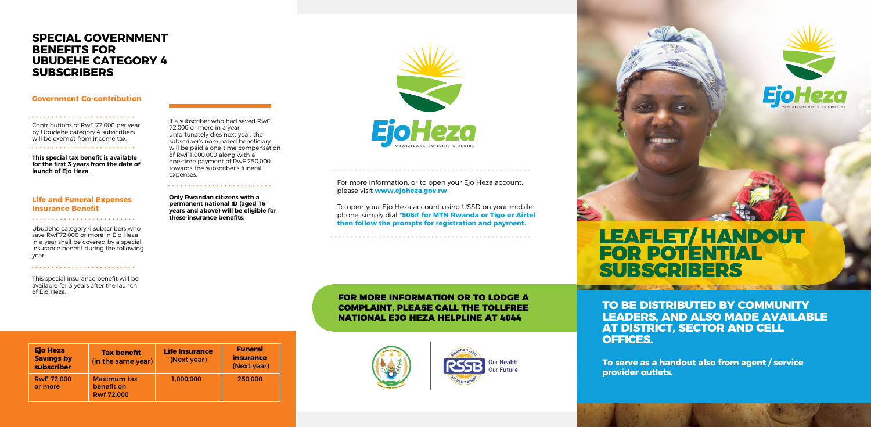**\* Applicable Government co-contributions will be transferred into your Ejo Heza account on a quarterly basis** 

**provider outlets.** a handout alsc **To serve as a handout also from agent / service**  $\qquad \qquad$ 

# LEAFLET/ HANDOUT FOR POTENTIAL SUBSCRIBERS

## **SPECIAL GOVERNMENT BENEFITS FOR UBUDEHE CATEGORY 4 SUBSCRIBERS**

#### **Government Co-contribution**

### **Life and Funeral Expenses Insurance Benefit**

Contributions of RwF 72,000 per year by Ubudehe category 4 subscribers will be exempt from income tax. 

**This special tax benefit is available for the first 3 years from the date of launch of Ejo Heza.**

Ubudehe category 4 subscribers who save RwF72,000 or more in Ejo Heza in a year shall be covered by a special insurance benefit during the following year.

> **Ejo Heza TO BE DISTRIBUTED BY COMMUNITY LEADERS, AND ALSO MADE AVAILABLE AT DISTRICT, SECTOR AND CELL OFFICES.**

**Only Rwandan citizens with a permanent national ID (aged 16 years and above) will be eligible for these insurance benefits.** 

**EjoHeza** 

This special insurance benefit will be available for 3 years after the launch of Ejo Heza.

If a subscriber who had saved RwF 72,000 or more in a year, unfortunately dies next year, the subscriber's nominated beneficiary will be paid a one-time compensation of RwF1,000,000 along with a one-time payment of RwF 250,000 towards the subscriber's funeral expenses.

> FOR MORE INFORMATION OR TO LODGE A COMPLAINT, PLEASE CALL THE TOLLFREE NATIONAL EJO HEZA HELPLINE AT 4044

For more information, or to open your Ejo Heza account, please visit **www.ejoheza.gov.rw** 

To open your Ejo Heza account using USSD on your mobile phone, simply dial **\*506# for MTN Rwanda or Tigo or Airtel then follow the prompts for registration and payment.**